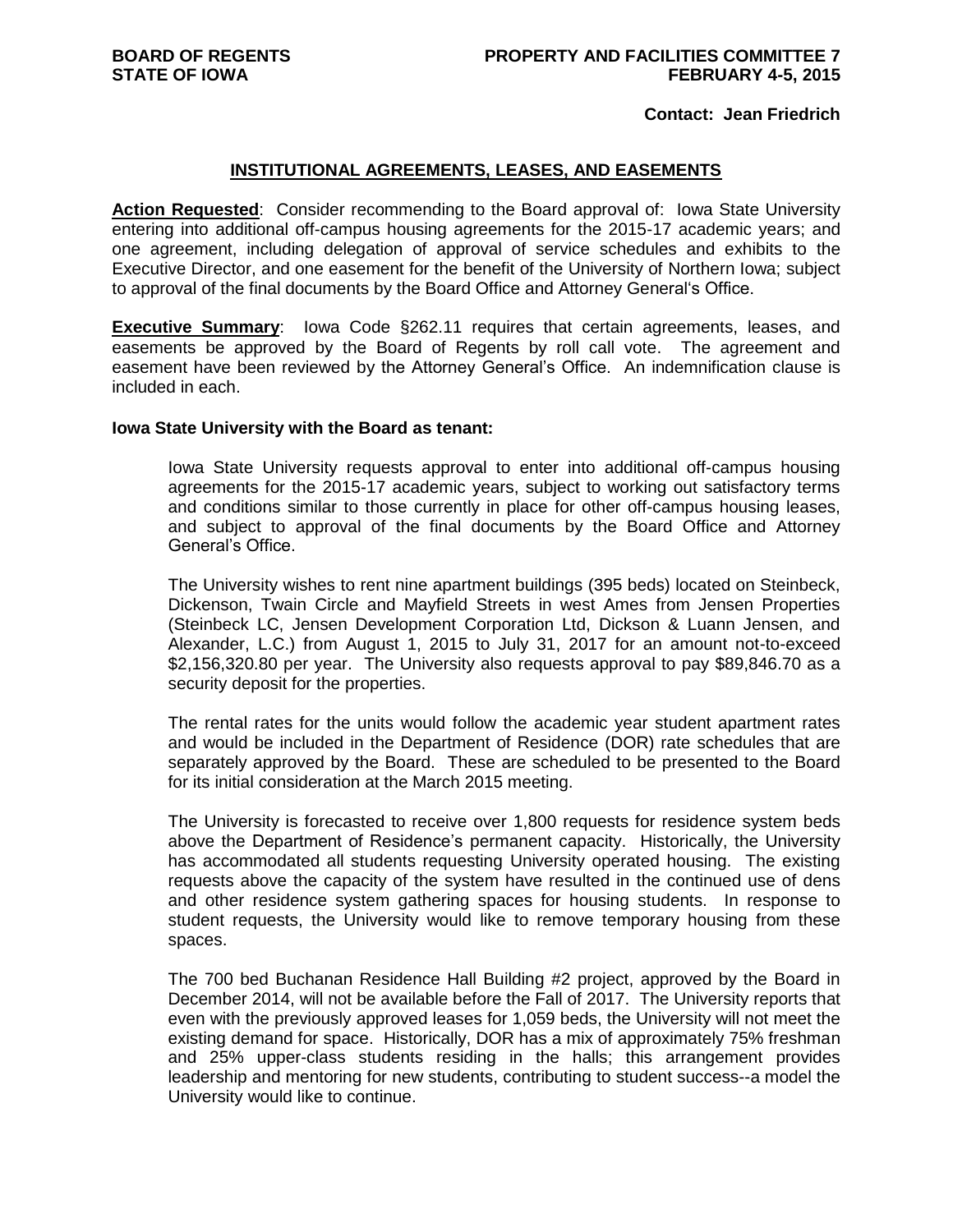### **Contact: Jean Friedrich**

### **INSTITUTIONAL AGREEMENTS, LEASES, AND EASEMENTS**

**Action Requested**: Consider recommending to the Board approval of: Iowa State University entering into additional off-campus housing agreements for the 2015-17 academic years; and one agreement, including delegation of approval of service schedules and exhibits to the Executive Director, and one easement for the benefit of the University of Northern Iowa; subject to approval of the final documents by the Board Office and Attorney General's Office.

**Executive Summary**: Iowa Code §262.11 requires that certain agreements, leases, and easements be approved by the Board of Regents by roll call vote. The agreement and easement have been reviewed by the Attorney General's Office. An indemnification clause is included in each.

#### **Iowa State University with the Board as tenant:**

Iowa State University requests approval to enter into additional off-campus housing agreements for the 2015-17 academic years, subject to working out satisfactory terms and conditions similar to those currently in place for other off-campus housing leases, and subject to approval of the final documents by the Board Office and Attorney General's Office.

The University wishes to rent nine apartment buildings (395 beds) located on Steinbeck, Dickenson, Twain Circle and Mayfield Streets in west Ames from Jensen Properties (Steinbeck LC, Jensen Development Corporation Ltd, Dickson & Luann Jensen, and Alexander, L.C.) from August 1, 2015 to July 31, 2017 for an amount not-to-exceed \$2,156,320.80 per year. The University also requests approval to pay \$89,846.70 as a security deposit for the properties.

The rental rates for the units would follow the academic year student apartment rates and would be included in the Department of Residence (DOR) rate schedules that are separately approved by the Board. These are scheduled to be presented to the Board for its initial consideration at the March 2015 meeting.

The University is forecasted to receive over 1,800 requests for residence system beds above the Department of Residence's permanent capacity. Historically, the University has accommodated all students requesting University operated housing. The existing requests above the capacity of the system have resulted in the continued use of dens and other residence system gathering spaces for housing students. In response to student requests, the University would like to remove temporary housing from these spaces.

The 700 bed Buchanan Residence Hall Building #2 project, approved by the Board in December 2014, will not be available before the Fall of 2017. The University reports that even with the previously approved leases for 1,059 beds, the University will not meet the existing demand for space. Historically, DOR has a mix of approximately 75% freshman and 25% upper-class students residing in the halls; this arrangement provides leadership and mentoring for new students, contributing to student success--a model the University would like to continue.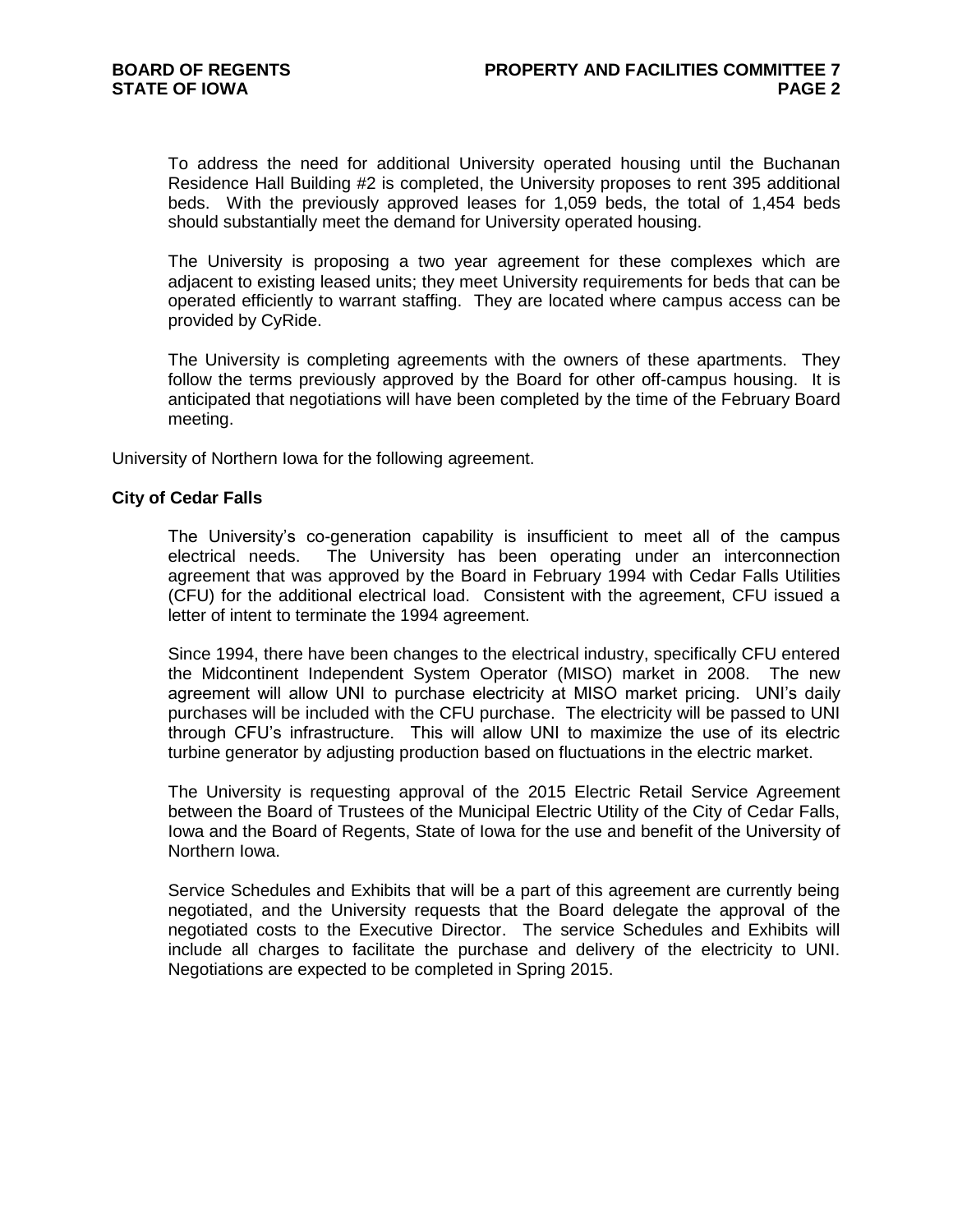To address the need for additional University operated housing until the Buchanan Residence Hall Building #2 is completed, the University proposes to rent 395 additional beds. With the previously approved leases for 1,059 beds, the total of 1,454 beds should substantially meet the demand for University operated housing.

The University is proposing a two year agreement for these complexes which are adjacent to existing leased units; they meet University requirements for beds that can be operated efficiently to warrant staffing. They are located where campus access can be provided by CyRide.

The University is completing agreements with the owners of these apartments. They follow the terms previously approved by the Board for other off-campus housing. It is anticipated that negotiations will have been completed by the time of the February Board meeting.

University of Northern Iowa for the following agreement.

### **City of Cedar Falls**

The University's co-generation capability is insufficient to meet all of the campus electrical needs. The University has been operating under an interconnection agreement that was approved by the Board in February 1994 with Cedar Falls Utilities (CFU) for the additional electrical load. Consistent with the agreement, CFU issued a letter of intent to terminate the 1994 agreement.

Since 1994, there have been changes to the electrical industry, specifically CFU entered the Midcontinent Independent System Operator (MISO) market in 2008. The new agreement will allow UNI to purchase electricity at MISO market pricing. UNI's daily purchases will be included with the CFU purchase. The electricity will be passed to UNI through CFU's infrastructure. This will allow UNI to maximize the use of its electric turbine generator by adjusting production based on fluctuations in the electric market.

The University is requesting approval of the 2015 Electric Retail Service Agreement between the Board of Trustees of the Municipal Electric Utility of the City of Cedar Falls, Iowa and the Board of Regents, State of Iowa for the use and benefit of the University of Northern Iowa.

Service Schedules and Exhibits that will be a part of this agreement are currently being negotiated, and the University requests that the Board delegate the approval of the negotiated costs to the Executive Director. The service Schedules and Exhibits will include all charges to facilitate the purchase and delivery of the electricity to UNI. Negotiations are expected to be completed in Spring 2015.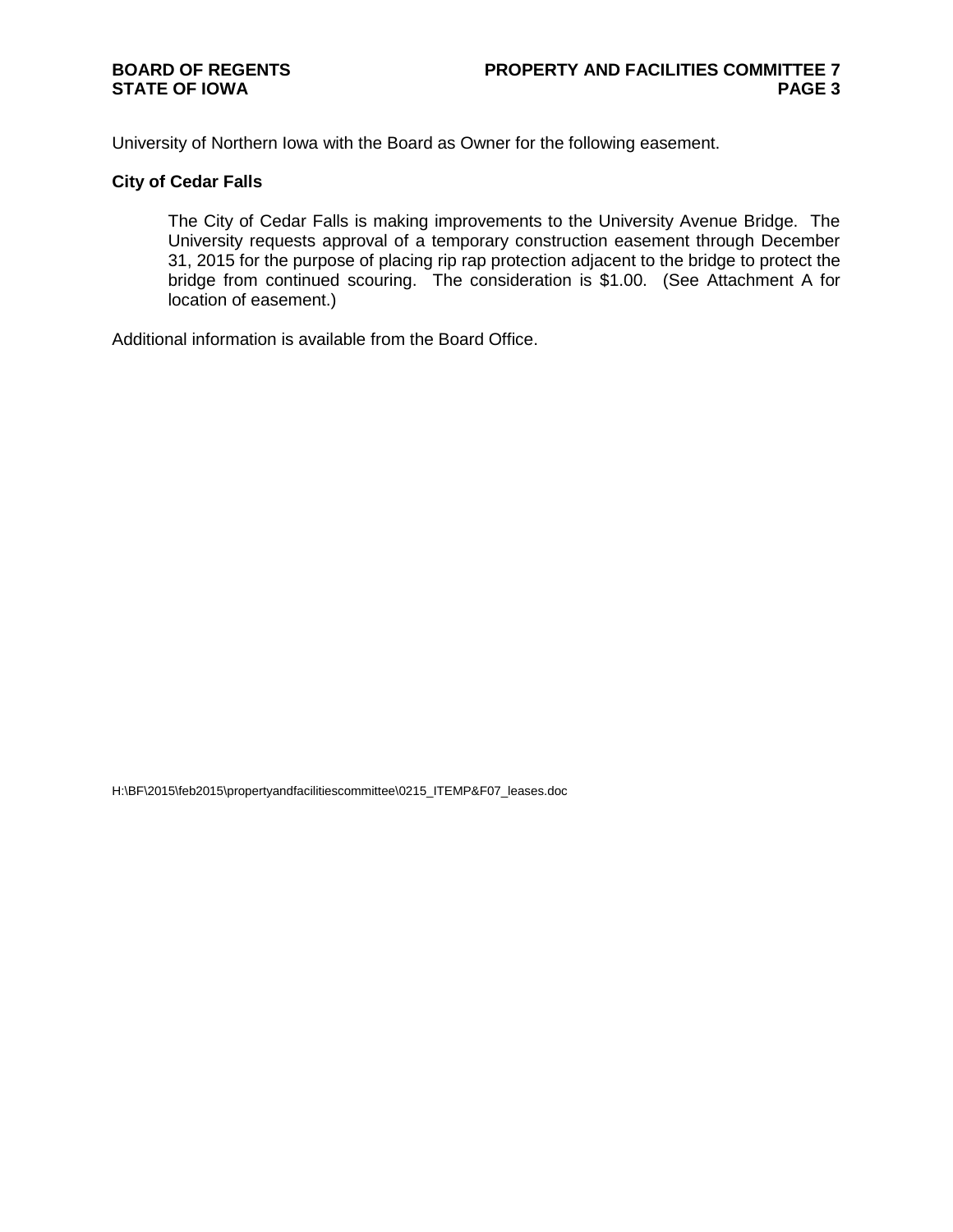# **BOARD OF REGENTS STATE OF IOWA**

University of Northern Iowa with the Board as Owner for the following easement.

## **City of Cedar Falls**

The City of Cedar Falls is making improvements to the University Avenue Bridge. The University requests approval of a temporary construction easement through December 31, 2015 for the purpose of placing rip rap protection adjacent to the bridge to protect the bridge from continued scouring. The consideration is \$1.00. (See Attachment A for location of easement.)

Additional information is available from the Board Office.

H:\BF\2015\feb2015\propertyandfacilitiescommittee\0215\_ITEMP&F07\_leases.doc